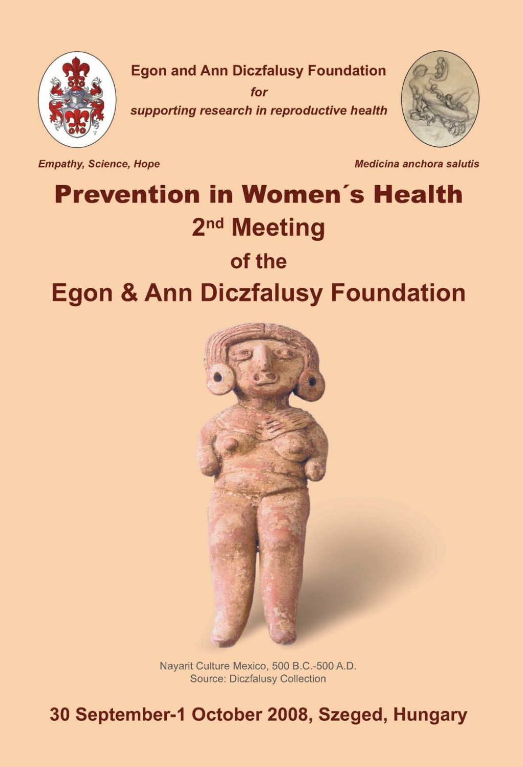

 $for$ supporting research in reproductive health



**Empathy, Science, Hope** 

Medicina anchora salutis

# **Prevention in Women's Health** 2<sup>nd</sup> Meeting of the **Egon & Ann Diczfalusy Foundation**



Nayarit Culture Mexico, 500 B.C.-500 A.D. Source: Diczfalusy Collection

30 September-1 October 2008, Szeged, Hungary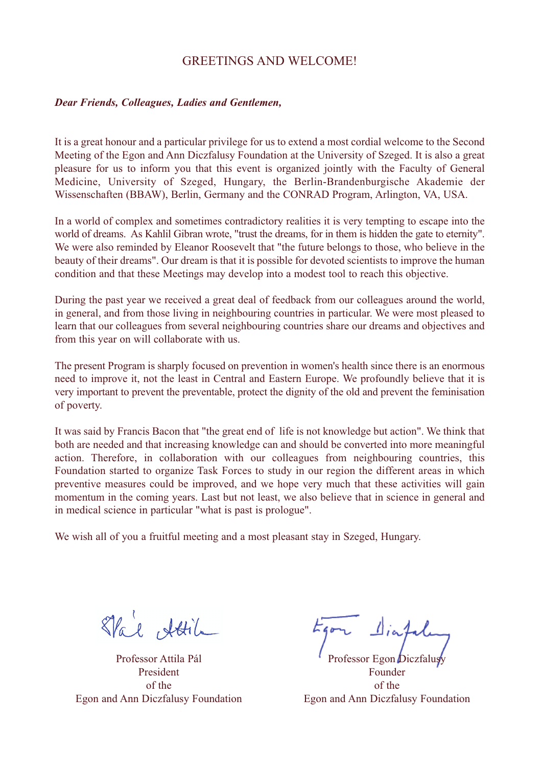# GREETINGS AND WELCOME!

#### *Dear Friends, Colleagues, Ladies and Gentlemen,*

It is a great honour and a particular privilege for us to extend a most cordial welcome to the Second Meeting of the Egon and Ann Diczfalusy Foundation at the University of Szeged. It is also a great pleasure for us to inform you that this event is organized jointly with the Faculty of General Medicine, University of Szeged, Hungary, the Berlin-Brandenburgische Akademie der Wissenschaften (BBAW), Berlin, Germany and the CONRAD Program, Arlington, VA, USA.

In a world of complex and sometimes contradictory realities it is very tempting to escape into the world of dreams. As Kahlil Gibran wrote, "trust the dreams, for in them is hidden the gate to eternity". We were also reminded by Eleanor Roosevelt that "the future belongs to those, who believe in the beauty of their dreams". Our dream is that it is possible for devoted scientists to improve the human condition and that these Meetings may develop into a modest tool to reach this objective.

During the past year we received a great deal of feedback from our colleagues around the world, in general, and from those living in neighbouring countries in particular. We were most pleased to learn that our colleagues from several neighbouring countries share our dreams and objectives and from this year on will collaborate with us.

The present Program is sharply focused on prevention in women's health since there is an enormous need to improve it, not the least in Central and Eastern Europe. We profoundly believe that it is very important to prevent the preventable, protect the dignity of the old and prevent the feminisation of poverty.

It was said by Francis Bacon that "the great end of life is not knowledge but action". We think that both are needed and that increasing knowledge can and should be converted into more meaningful action. Therefore, in collaboration with our colleagues from neighbouring countries, this Foundation started to organize Task Forces to study in our region the different areas in which preventive measures could be improved, and we hope very much that these activities will gain momentum in the coming years. Last but not least, we also believe that in science in general and in medical science in particular "what is past is prologue".

We wish all of you a fruitful meeting and a most pleasant stay in Szeged, Hungary.

Stal, Attila

Professor Attila Pál Professor Egon Dicz President Founder Egon and Ann Diczfalusy Foundation Egon and Ann Diczfalusy Foundation

of the of the of the of the of the of the of the of the of the of the of the of the of the of the of the of the of the of the of the of the of the of the of the of the of the of the of the of the of the of the of the of th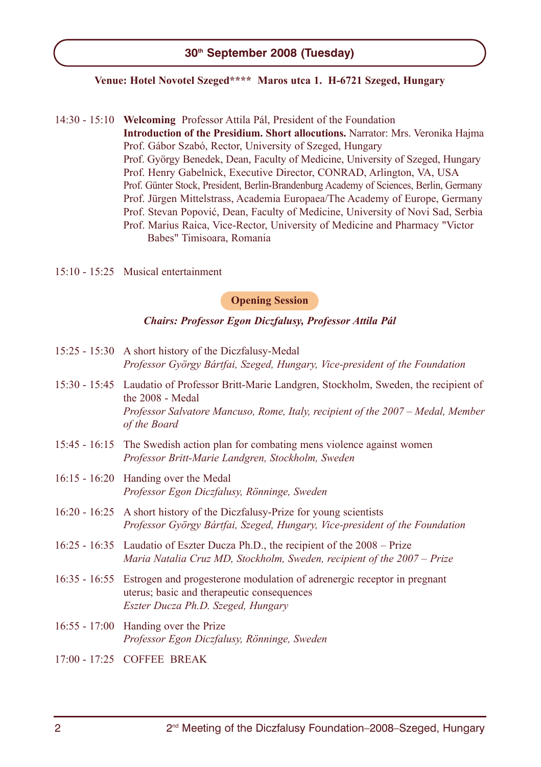# **30th September 2008 (Tuesday)**

## **Venue: Hotel Novotel Szeged\*\*\*\* Maros utca 1. H-6721 Szeged, Hungary**

- 14:30 15:10 **Welcoming** Professor Attila Pál, President of the Foundation **Introduction of the Presidium. Short allocutions.** Narrator: Mrs. Veronika Hajma Prof. Gábor Szabó, Rector, University of Szeged, Hungary Prof. György Benedek, Dean, Faculty of Medicine, University of Szeged, Hungary Prof. Henry Gabelnick, Executive Director, CONRAD, Arlington, VA, USA Prof. Günter Stock, President, Berlin-Brandenburg Academy of Sciences, Berlin, Germany Prof. Jürgen Mittelstrass, Academia Europaea/The Academy of Europe, Germany Prof. Stevan Popović, Dean, Faculty of Medicine, University of Novi Sad, Serbia Prof. Marius Raica, Vice-Rector, University of Medicine and Pharmacy "Victor Babes" Timisoara, Romania
- 15:10 15:25 Musical entertainment

#### **Opening Session**

## *Chairs: Professor Egon Diczfalusy, Professor Attila Pál*

- 15:25 15:30 A short history of the Diczfalusy-Medal *Professor György Bártfai, Szeged, Hungary, Vice-president of the Foundation*
- 15:30 15:45 Laudatio of Professor Britt-Marie Landgren, Stockholm, Sweden, the recipient of the 2008 - Medal *Professor Salvatore Mancuso, Rome, Italy, recipient of the 2007 – Medal, Member of the Board*
- 15:45 16:15 The Swedish action plan for combating mens violence against women *Professor Britt-Marie Landgren, Stockholm, Sweden*
- 16:15 16:20 Handing over the Medal *Professor Egon Diczfalusy, Rönninge, Sweden*
- 16:20 16:25 A short history of the Diczfalusy-Prize for young scientists *Professor György Bártfai, Szeged, Hungary, Vice-president of the Foundation*
- 16:25 16:35 Laudatio of Eszter Ducza Ph.D., the recipient of the 2008 Prize *Maria Natalia Cruz MD, Stockholm, Sweden, recipient of the 2007 – Prize*
- 16:35 16:55 Estrogen and progesterone modulation of adrenergic receptor in pregnant uterus; basic and therapeutic consequences *Eszter Ducza Ph.D. Szeged, Hungary*
- 16:55 17:00 Handing over the Prize *Professor Egon Diczfalusy, Rönninge, Sweden*
- 17:00 17:25 COFFEE BREAK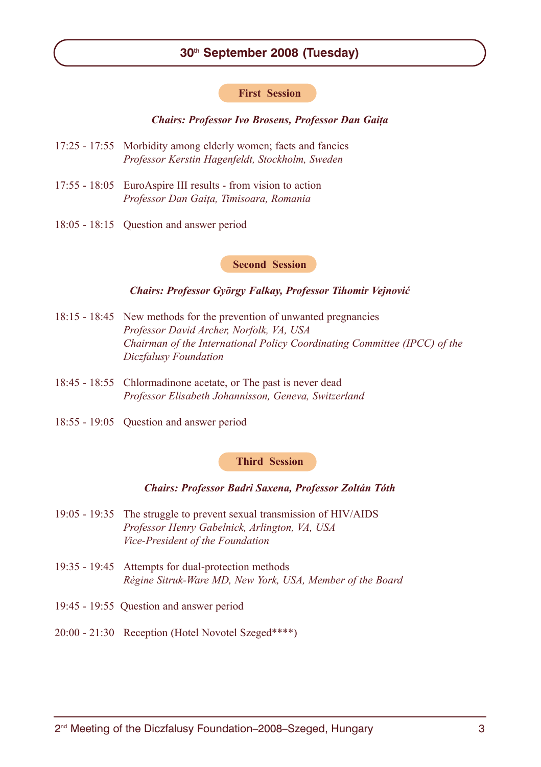# **30th September 2008 (Tuesday)**

#### **First Session**

## *Chairs: Professor Ivo Brosens, Professor Dan Gaiþa*

- 17:25 17:55 Morbidity among elderly women; facts and fancies *Professor Kerstin Hagenfeldt, Stockholm, Sweden*
- 17:55 18:05 EuroAspire III results from vision to action *Professor Dan Gaiþa, Timisoara, Romania*
- 18:05 18:15 Question and answer period

## **Second Session**

#### *Chairs: Professor György Falkay, Professor Tihomir Vejnoviæ*

- 18:15 18:45 New methods for the prevention of unwanted pregnancies *Professor David Archer, Norfolk, VA, USA Chairman of the International Policy Coordinating Committee (IPCC) of the Diczfalusy Foundation*
- 18:45 18:55 Chlormadinone acetate, or The past is never dead *Professor Elisabeth Johannisson, Geneva, Switzerland*
- 18:55 19:05 Question and answer period

#### **Third Session**

## *Chairs: Professor Badri Saxena, Professor Zoltán Tóth*

- 19:05 19:35 The struggle to prevent sexual transmission of HIV/AIDS *Professor Henry Gabelnick, Arlington, VA, USA Vice-President of the Foundation*
- 19:35 19:45 Attempts for dual-protection methods *Régine Sitruk-Ware MD, New York, USA, Member of the Board*
- 19:45 19:55 Question and answer period
- 20:00 21:30 Reception (Hotel Novotel Szeged\*\*\*\*)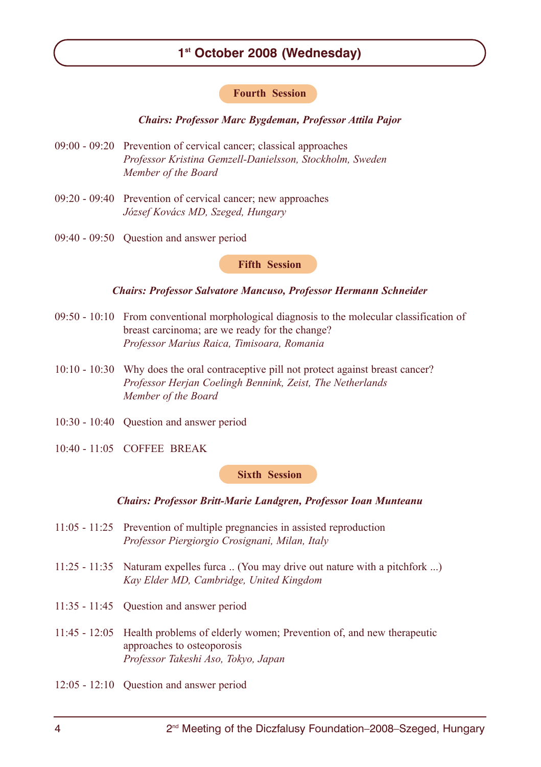# **1st October 2008 (Wednesday)**

# **Fourth Session**

## *Chairs: Professor Marc Bygdeman, Professor Attila Pajor*

- 09:00 09:20 Prevention of cervical cancer; classical approaches *Professor Kristina Gemzell-Danielsson, Stockholm, Sweden Member of the Board*
- 09:20 09:40 Prevention of cervical cancer; new approaches *József Kovács MD, Szeged, Hungary*
- 09:40 09:50 Question and answer period

#### **Fifth Session**

#### *Chairs: Professor Salvatore Mancuso, Professor Hermann Schneider*

- 09:50 10:10 From conventional morphological diagnosis to the molecular classification of breast carcinoma; are we ready for the change? *Professor Marius Raica, Timisoara, Romania*
- 10:10 10:30 Why does the oral contraceptive pill not protect against breast cancer? *Professor Herjan Coelingh Bennink, Zeist, The Netherlands Member of the Board*
- 10:30 10:40 Question and answer period
- 10:40 11:05 COFFEE BREAK

**Sixth Session**

#### *Chairs: Professor Britt-Marie Landgren, Professor Ioan Munteanu*

- 11:05 11:25 Prevention of multiple pregnancies in assisted reproduction *Professor Piergiorgio Crosignani, Milan, Italy*
- 11:25 11:35 Naturam expelles furca .. (You may drive out nature with a pitchfork ...) *Kay Elder MD, Cambridge, United Kingdom*
- 11:35 11:45 Question and answer period
- 11:45 12:05 Health problems of elderly women; Prevention of, and new therapeutic approaches to osteoporosis *Professor Takeshi Aso, Tokyo, Japan*
- 12:05 12:10 Question and answer period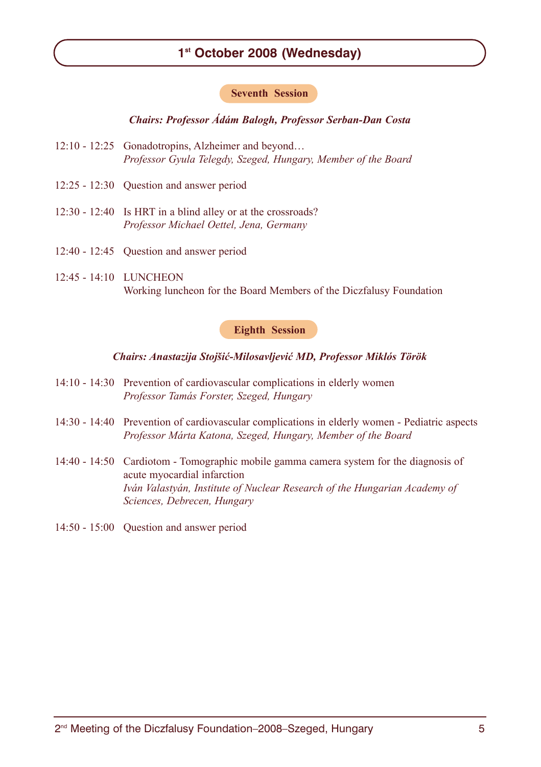# **1st October 2008 (Wednesday)**

## **Seventh Session**

*Chairs: Professor Ádám Balogh, Professor Serban-Dan Costa*

- 12:10 12:25 Gonadotropins, Alzheimer and beyond… *Professor Gyula Telegdy, Szeged, Hungary, Member of the Board*
- 12:25 12:30 Question and answer period
- 12:30 12:40 Is HRT in a blind alley or at the crossroads? *Professor Michael Oettel, Jena, Germany*
- 12:40 12:45 Question and answer period
- 12:45 14:10 LUNCHEON Working luncheon for the Board Members of the Diczfalusy Foundation

## **Eighth Session**

#### *Chairs: Anastazija Stojšiæ-Milosavljeviæ MD, Professor Miklós Török*

- 14:10 14:30 Prevention of cardiovascular complications in elderly women *Professor Tamás Forster, Szeged, Hungary*
- 14:30 14:40 Prevention of cardiovascular complications in elderly women Pediatric aspects *Professor Márta Katona, Szeged, Hungary, Member of the Board*
- 14:40 14:50 Cardiotom Tomographic mobile gamma camera system for the diagnosis of acute myocardial infarction *Iván Valastyán, Institute of Nuclear Research of the Hungarian Academy of Sciences, Debrecen, Hungary*
- 14:50 15:00 Question and answer period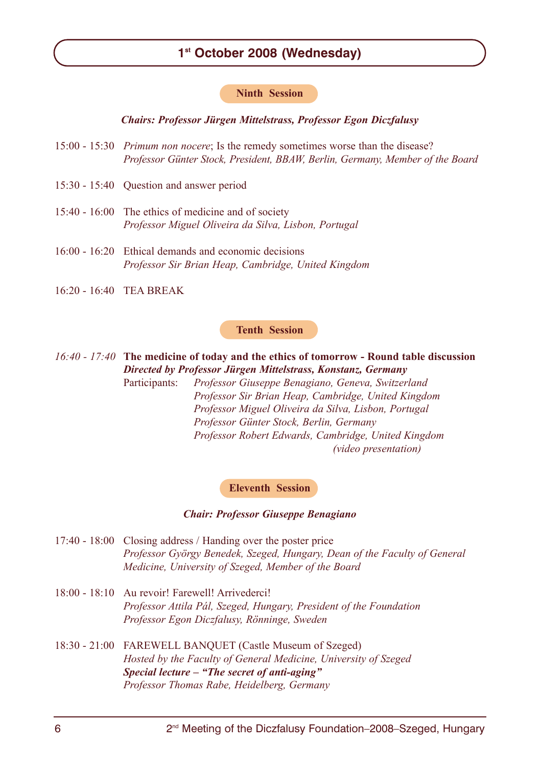# **1st October 2008 (Wednesday)**

#### **Ninth Session**

*Chairs: Professor Jürgen Mittelstrass, Professor Egon Diczfalusy*

- 15:00 15:30 *Primum non nocere*; Is the remedy sometimes worse than the disease? *Professor Günter Stock, President, BBAW, Berlin, Germany, Member of the Board*
- 15:30 15:40 Question and answer period
- 15:40 16:00 The ethics of medicine and of society *Professor Miguel Oliveira da Silva, Lisbon, Portugal*
- 16:00 16:20 Ethical demands and economic decisions *Professor Sir Brian Heap, Cambridge, United Kingdom*
- 16:20 16:40 TEA BREAK

#### **Tenth Session**

*16:40 - 17:40* **The medicine of today and the ethics of tomorrow - Round table discussion** *Directed by Professor Jürgen Mittelstrass, Konstanz, Germany*

Participants: *Professor Giuseppe Benagiano, Geneva, Switzerland Professor Sir Brian Heap, Cambridge, United Kingdom Professor Miguel Oliveira da Silva, Lisbon, Portugal Professor Günter Stock, Berlin, Germany Professor Robert Edwards, Cambridge, United Kingdom (video presentation)*

#### **Eleventh Session**

#### *Chair: Professor Giuseppe Benagiano*

- 17:40 18:00 Closing address / Handing over the poster price *Professor György Benedek, Szeged, Hungary, Dean of the Faculty of General Medicine, University of Szeged, Member of the Board*
- 18:00 18:10 Au revoir! Farewell! Arrivederci! *Professor Attila Pál, Szeged, Hungary, President of the Foundation Professor Egon Diczfalusy, Rönninge, Sweden*
- 18:30 21:00 FAREWELL BANQUET (Castle Museum of Szeged) *Hosted by the Faculty of General Medicine, University of Szeged Special lecture – "The secret of anti-aging" Professor Thomas Rabe, Heidelberg, Germany*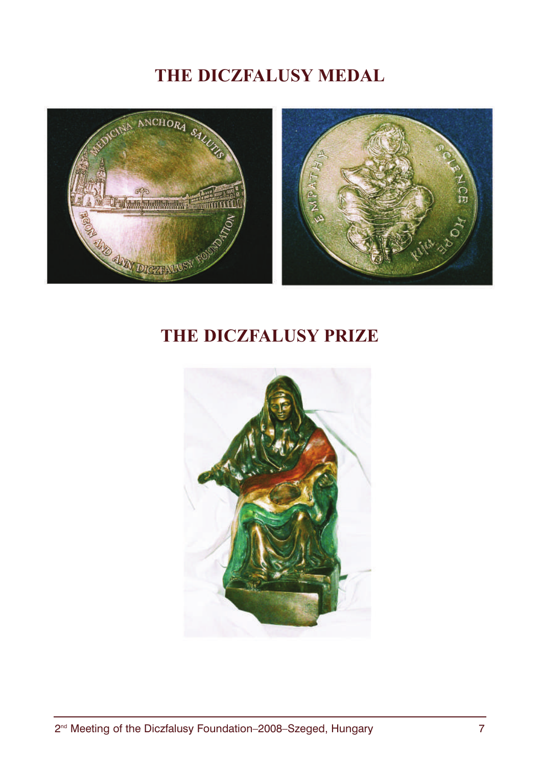# **THE DICZFALUSY MEDAL**



# **THE DICZFALUSY PRIZE**

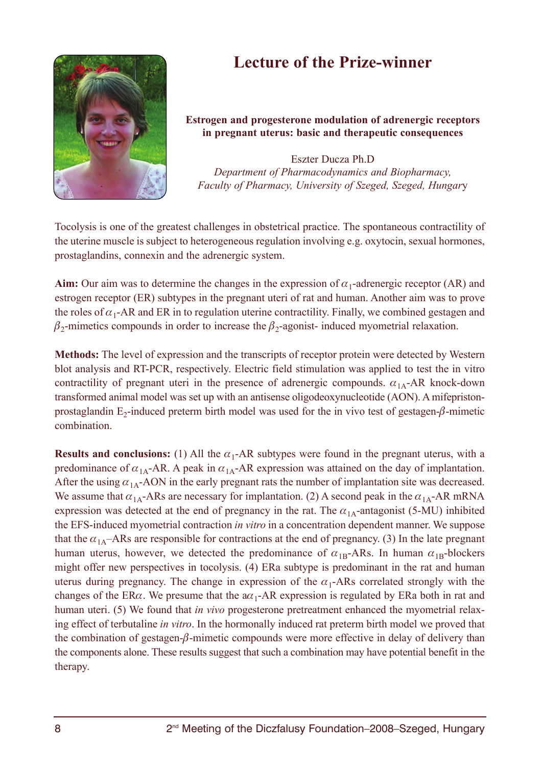# **Lecture of the Prize-winner**



# **Estrogen and progesterone modulation of adrenergic receptors in pregnant uterus: basic and therapeutic consequences**

Eszter Ducza Ph.D *Department of Pharmacodynamics and Biopharmacy, Faculty of Pharmacy, University of Szeged, Szeged, Hungar*y

Tocolysis is one of the greatest challenges in obstetrical practice. The spontaneous contractility of the uterine muscle is subject to heterogeneous regulation involving e.g. oxytocin, sexual hormones, prostaglandins, connexin and the adrenergic system.

**Aim:** Our aim was to determine the changes in the expression of  $\alpha_1$ -adrenergic receptor (AR) and estrogen receptor (ER) subtypes in the pregnant uteri of rat and human. Another aim was to prove the roles of  $\alpha_1$ -AR and ER in to regulation uterine contractility. Finally, we combined gestagen and  $\beta_2$ -mimetics compounds in order to increase the  $\beta_2$ -agonist- induced myometrial relaxation.

**Methods:** The level of expression and the transcripts of receptor protein were detected by Western blot analysis and RT-PCR, respectively. Electric field stimulation was applied to test the in vitro contractility of pregnant uteri in the presence of adrenergic compounds.  $\alpha_{1A}$ -AR knock-down transformed animal model was set up with an antisense oligodeoxynucleotide (AON). A mifepristonprostaglandin E<sub>2</sub>-induced preterm birth model was used for the in vivo test of gestagen- $\beta$ -mimetic combination.

**Results and conclusions:** (1) All the  $\alpha_1$ -AR subtypes were found in the pregnant uterus, with a predominance of  $\alpha_{1A}$ -AR. A peak in  $\alpha_{1A}$ -AR expression was attained on the day of implantation. After the using  $\alpha_{1A}$ -AON in the early pregnant rats the number of implantation site was decreased. We assume that  $\alpha_{1A}$ -ARs are necessary for implantation. (2) A second peak in the  $\alpha_{1A}$ -AR mRNA expression was detected at the end of pregnancy in the rat. The  $\alpha_{1A}$ -antagonist (5-MU) inhibited the EFS-induced myometrial contraction *in vitro* in a concentration dependent manner. We suppose that the  $\alpha_{14}$ –ARs are responsible for contractions at the end of pregnancy. (3) In the late pregnant human uterus, however, we detected the predominance of  $\alpha_{1B}$ -ARs. In human  $\alpha_{1B}$ -blockers might offer new perspectives in tocolysis. (4) ERa subtype is predominant in the rat and human uterus during pregnancy. The change in expression of the  $\alpha_1$ -ARs correlated strongly with the changes of the ER $\alpha$ . We presume that the  $a\alpha_1$ -AR expression is regulated by ERa both in rat and human uteri. (5) We found that *in vivo* progesterone pretreatment enhanced the myometrial relaxing effect of terbutaline *in vitro*. In the hormonally induced rat preterm birth model we proved that the combination of gestagen-β-mimetic compounds were more effective in delay of delivery than the components alone. These results suggest that such a combination may have potential benefit in the therapy.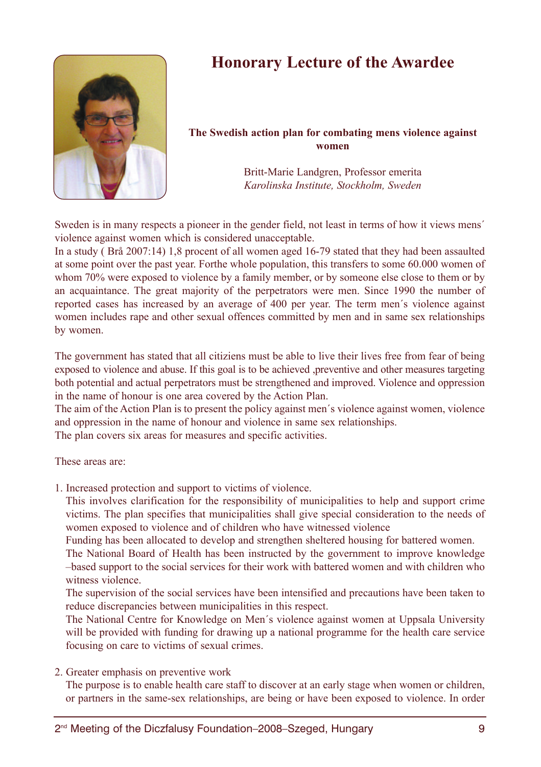

# **Honorary Lecture of the Awardee**

# **The Swedish action plan for combating mens violence against women**

Britt-Marie Landgren, Professor emerita *Karolinska Institute, Stockholm, Sweden* 

Sweden is in many respects a pioneer in the gender field, not least in terms of how it views mens´ violence against women which is considered unacceptable.

In a study ( Brå 2007:14) 1,8 procent of all women aged 16-79 stated that they had been assaulted at some point over the past year. Forthe whole population, this transfers to some 60.000 women of whom 70% were exposed to violence by a family member, or by someone else close to them or by an acquaintance. The great majority of the perpetrators were men. Since 1990 the number of reported cases has increased by an average of 400 per year. The term men´s violence against women includes rape and other sexual offences committed by men and in same sex relationships by women.

The government has stated that all citiziens must be able to live their lives free from fear of being exposed to violence and abuse. If this goal is to be achieved ,preventive and other measures targeting both potential and actual perpetrators must be strengthened and improved. Violence and oppression in the name of honour is one area covered by the Action Plan.

The aim of the Action Plan is to present the policy against men´s violence against women, violence and oppression in the name of honour and violence in same sex relationships.

The plan covers six areas for measures and specific activities.

These areas are:

1. Increased protection and support to victims of violence.

This involves clarification for the responsibility of municipalities to help and support crime victims. The plan specifies that municipalities shall give special consideration to the needs of women exposed to violence and of children who have witnessed violence

Funding has been allocated to develop and strengthen sheltered housing for battered women.

The National Board of Health has been instructed by the government to improve knowledge –based support to the social services for their work with battered women and with children who witness violence.

The supervision of the social services have been intensified and precautions have been taken to reduce discrepancies between municipalities in this respect.

The National Centre for Knowledge on Men´s violence against women at Uppsala University will be provided with funding for drawing up a national programme for the health care service focusing on care to victims of sexual crimes.

2. Greater emphasis on preventive work

The purpose is to enable health care staff to discover at an early stage when women or children, or partners in the same-sex relationships, are being or have been exposed to violence. In order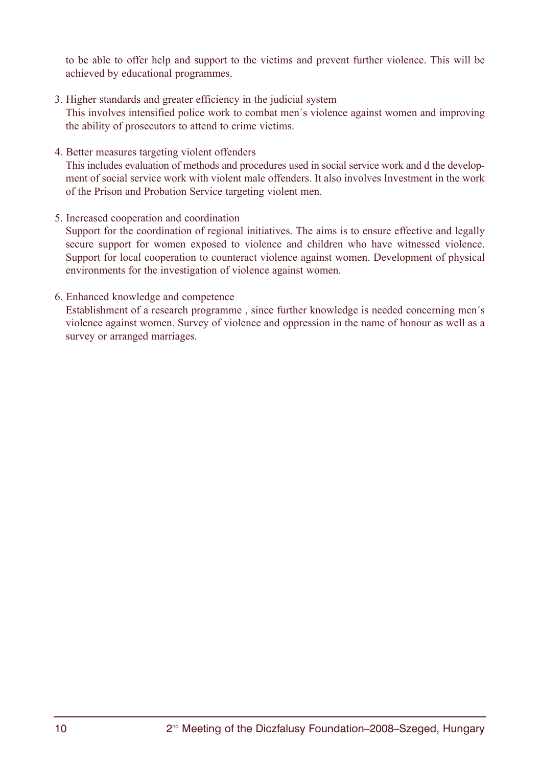to be able to offer help and support to the victims and prevent further violence. This will be achieved by educational programmes.

- 3. Higher standards and greater efficiency in the judicial system This involves intensified police work to combat men´s violence against women and improving the ability of prosecutors to attend to crime victims.
- 4. Better measures targeting violent offenders This includes evaluation of methods and procedures used in social service work and d the development of social service work with violent male offenders. It also involves Investment in the work of the Prison and Probation Service targeting violent men.
- 5. Increased cooperation and coordination

Support for the coordination of regional initiatives. The aims is to ensure effective and legally secure support for women exposed to violence and children who have witnessed violence. Support for local cooperation to counteract violence against women. Development of physical environments for the investigation of violence against women.

# 6. Enhanced knowledge and competence

Establishment of a research programme , since further knowledge is needed concerning men´s violence against women. Survey of violence and oppression in the name of honour as well as a survey or arranged marriages.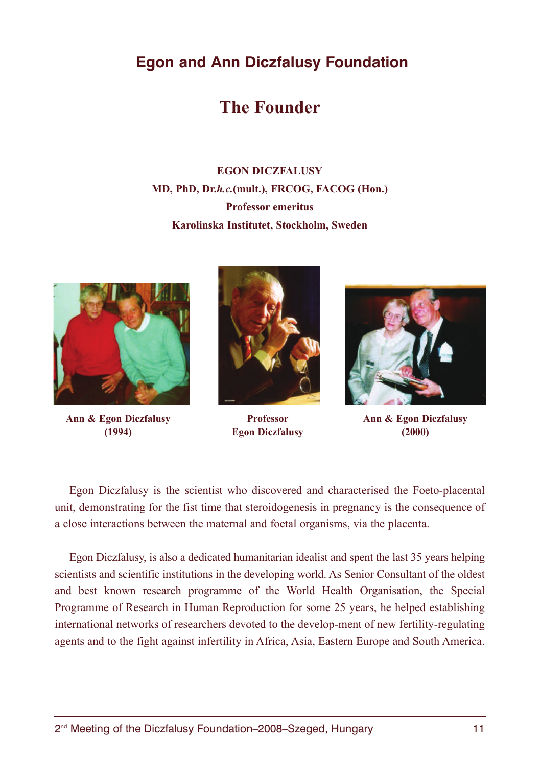# **The Founder**

# **EGON DICZFALUSY MD, PhD, Dr.***h.c.***(mult.), FRCOG, FACOG (Hon.) Professor emeritus Karolinska Institutet, Stockholm, Sweden**





**(1994) Egon Diczfalusy (2000)**



**Ann & Egon Diczfalusy Professor Ann & Egon Diczfalusy** 

Egon Diczfalusy is the scientist who discovered and characterised the Foeto-placental unit, demonstrating for the fist time that steroidogenesis in pregnancy is the consequence of a close interactions between the maternal and foetal organisms, via the placenta.

Egon Diczfalusy, is also a dedicated humanitarian idealist and spent the last 35 years helping scientists and scientific institutions in the developing world. As Senior Consultant of the oldest and best known research programme of the World Health Organisation, the Special Programme of Research in Human Reproduction for some 25 years, he helped establishing international networks of researchers devoted to the develop-ment of new fertility-regulating agents and to the fight against infertility in Africa, Asia, Eastern Europe and South America.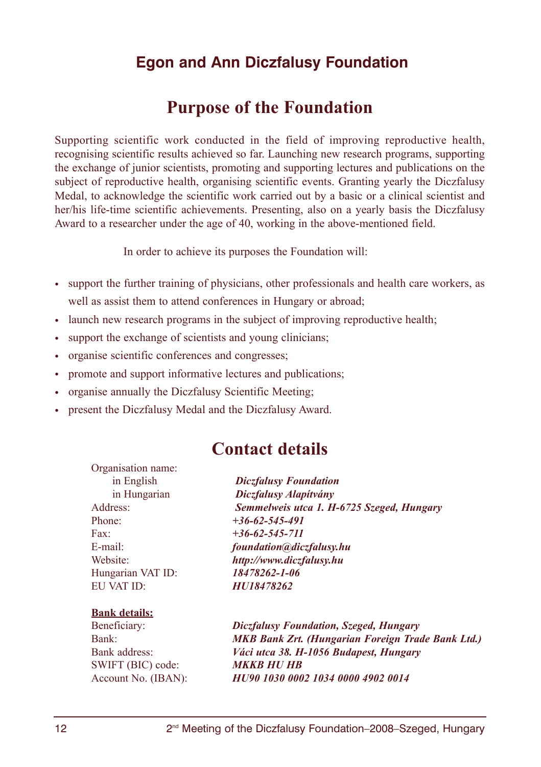# **Purpose of the Foundation**

Supporting scientific work conducted in the field of improving reproductive health, recognising scientific results achieved so far. Launching new research programs, supporting the exchange of junior scientists, promoting and supporting lectures and publications on the subject of reproductive health, organising scientific events. Granting yearly the Diczfalusy Medal, to acknowledge the scientific work carried out by a basic or a clinical scientist and her/his life-time scientific achievements. Presenting, also on a yearly basis the Diczfalusy Award to a researcher under the age of 40, working in the above-mentioned field.

In order to achieve its purposes the Foundation will:

- support the further training of physicians, other professionals and health care workers, as well as assist them to attend conferences in Hungary or abroad;
- launch new research programs in the subject of improving reproductive health;
- support the exchange of scientists and young clinicians;
- organise scientific conferences and congresses;
- promote and support informative lectures and publications;
- organise annually the Diczfalusy Scientific Meeting;
- present the Diczfalusy Medal and the Diczfalusy Award.

# **Contact details**

Organisation name: Phone: *+36-62-545-491* Fax: *+36-62-545-711* Hungarian VAT ID: *18478262-1-06* EU VAT ID: *HU18478262*

## **Bank details:**

SWIFT (BIC) code: *MKKB HU HB*

in English *Diczfalusy Foundation* in Hungarian *Diczfalusy Alapítvány* Address: *Semmelweis utca 1. H-6725 Szeged, Hungary* E-mail: *foundation@diczfalusy.hu* Website: *http://www.diczfalusy.hu*

Beneficiary: *Diczfalusy Foundation, Szeged, Hungary* Bank: *MKB Bank Zrt. (Hungarian Foreign Trade Bank Ltd.)* Bank address: *Váci utca 38. H-1056 Budapest, Hungary* Account No. (IBAN): *HU90 1030 0002 1034 0000 4902 0014*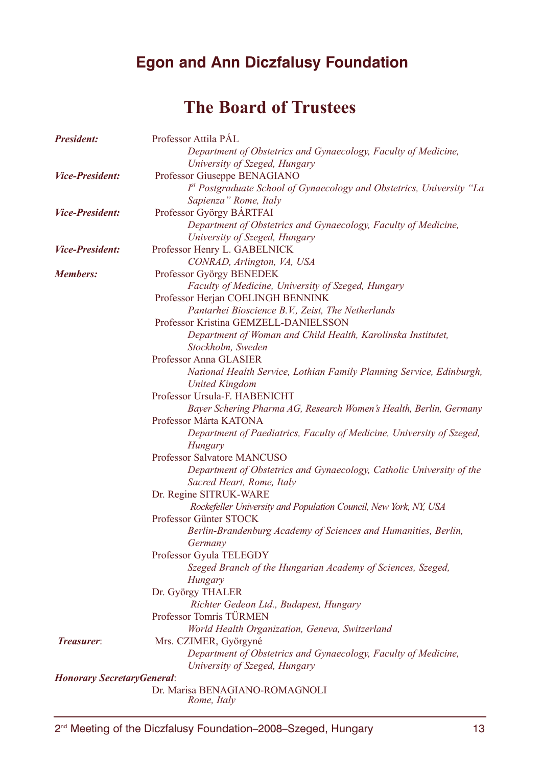# **The Board of Trustees**

| <b>President:</b>                  | Professor Attila PAL                                                             |
|------------------------------------|----------------------------------------------------------------------------------|
|                                    | Department of Obstetrics and Gynaecology, Faculty of Medicine,                   |
|                                    | University of Szeged, Hungary                                                    |
| <b>Vice-President:</b>             | Professor Giuseppe BENAGIANO                                                     |
|                                    | F <sup>t</sup> Postgraduate School of Gynaecology and Obstetrics, University "La |
|                                    | Sapienza" Rome, Italy                                                            |
| <b>Vice-President:</b>             | Professor György BÁRTFAI                                                         |
|                                    | Department of Obstetrics and Gynaecology, Faculty of Medicine,                   |
|                                    | University of Szeged, Hungary                                                    |
| <i><b>Vice-President:</b></i>      | Professor Henry L. GABELNICK                                                     |
|                                    | CONRAD, Arlington, VA, USA                                                       |
| <b>Members:</b>                    | Professor György BENEDEK                                                         |
|                                    | Faculty of Medicine, University of Szeged, Hungary                               |
|                                    | Professor Herjan COELINGH BENNINK                                                |
|                                    | Pantarhei Bioscience B.V., Zeist, The Netherlands                                |
|                                    | Professor Kristina GEMZELL-DANIELSSON                                            |
|                                    | Department of Woman and Child Health, Karolinska Institutet,                     |
|                                    | Stockholm. Sweden                                                                |
|                                    | Professor Anna GLASIER                                                           |
|                                    | National Health Service, Lothian Family Planning Service, Edinburgh,             |
|                                    | <b>United Kingdom</b>                                                            |
|                                    | Professor Ursula-F. HABENICHT                                                    |
|                                    | Bayer Schering Pharma AG, Research Women's Health, Berlin, Germany               |
|                                    | Professor Márta KATONA                                                           |
|                                    | Department of Paediatrics, Faculty of Medicine, University of Szeged,            |
|                                    | Hungary                                                                          |
|                                    | Professor Salvatore MANCUSO                                                      |
|                                    | Department of Obstetrics and Gynaecology, Catholic University of the             |
|                                    | Sacred Heart, Rome, Italy                                                        |
|                                    | Dr. Regine SITRUK-WARE                                                           |
|                                    | Rockefeller University and Population Council, New York, NY, USA                 |
|                                    | Professor Günter STOCK                                                           |
|                                    | Berlin-Brandenburg Academy of Sciences and Humanities, Berlin,                   |
|                                    | Germany                                                                          |
|                                    | Professor Gyula TELEGDY                                                          |
|                                    | Szeged Branch of the Hungarian Academy of Sciences, Szeged,                      |
|                                    | Hungary                                                                          |
|                                    | Dr. György THALER                                                                |
|                                    | Richter Gedeon Ltd., Budapest, Hungary                                           |
|                                    | Professor Tomris TÜRMEN                                                          |
|                                    | World Health Organization, Geneva, Switzerland                                   |
| <b>Treasurer:</b>                  | Mrs. CZIMER, Györgyné                                                            |
|                                    | Department of Obstetrics and Gynaecology, Faculty of Medicine,                   |
|                                    | University of Szeged, Hungary                                                    |
| <b>Honorary Secretary General:</b> |                                                                                  |
|                                    | Dr. Marisa BENAGIANO-ROMAGNOLI                                                   |
|                                    | Rome, Italy                                                                      |
|                                    |                                                                                  |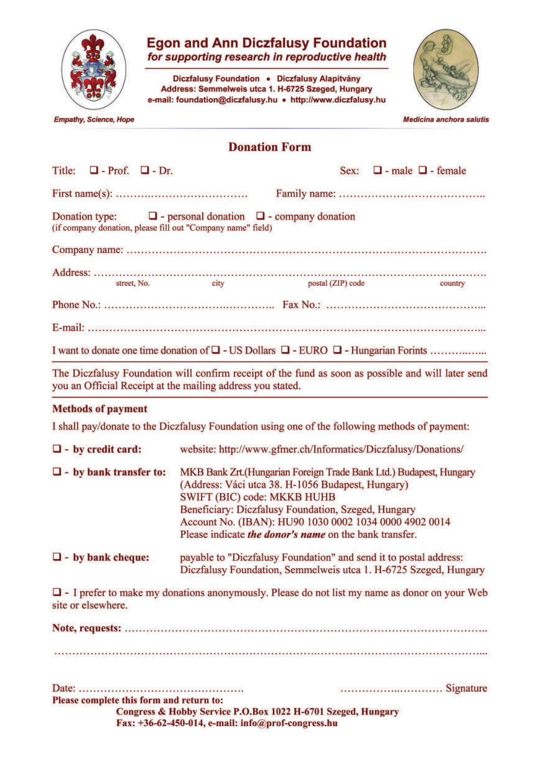

# **Egon and Ann Diczfalusy Foundation**<br>for supporting research in reproductive health

Diczfalusy Foundation · Diczfalusy Alapítvány Address: Semmelweis utca 1. H-6725 Szeged, Hungary e-mail: foundation@diczfalusy.hu • http://www.diczfalusy.hu



**Empathy, Science, Hope** 

Medicina anchora salutis

# **Donation Form**

| Title:<br>$\Box$ - Prof. $\Box$ - Dr.                                                          |                                                                                                                                                                                                                                                                                                                                          |                                                                   | Sex: $\Box$ - male $\Box$ - female                                                                  |  |  |  |  |  |  |  |
|------------------------------------------------------------------------------------------------|------------------------------------------------------------------------------------------------------------------------------------------------------------------------------------------------------------------------------------------------------------------------------------------------------------------------------------------|-------------------------------------------------------------------|-----------------------------------------------------------------------------------------------------|--|--|--|--|--|--|--|
|                                                                                                |                                                                                                                                                                                                                                                                                                                                          |                                                                   |                                                                                                     |  |  |  |  |  |  |  |
| Donation type:<br>(if company donation, please fill out "Company name" field)                  |                                                                                                                                                                                                                                                                                                                                          | $\Box$ - personal donation $\Box$ - company donation              |                                                                                                     |  |  |  |  |  |  |  |
|                                                                                                |                                                                                                                                                                                                                                                                                                                                          |                                                                   |                                                                                                     |  |  |  |  |  |  |  |
| street, No.                                                                                    | city                                                                                                                                                                                                                                                                                                                                     | postal (ZIP) code                                                 | country                                                                                             |  |  |  |  |  |  |  |
|                                                                                                |                                                                                                                                                                                                                                                                                                                                          |                                                                   |                                                                                                     |  |  |  |  |  |  |  |
|                                                                                                |                                                                                                                                                                                                                                                                                                                                          |                                                                   |                                                                                                     |  |  |  |  |  |  |  |
|                                                                                                |                                                                                                                                                                                                                                                                                                                                          |                                                                   |                                                                                                     |  |  |  |  |  |  |  |
| you an Official Receipt at the mailing address you stated.                                     |                                                                                                                                                                                                                                                                                                                                          |                                                                   | The Diczfalusy Foundation will confirm receipt of the fund as soon as possible and will later send  |  |  |  |  |  |  |  |
| <b>Methods of payment</b>                                                                      |                                                                                                                                                                                                                                                                                                                                          |                                                                   |                                                                                                     |  |  |  |  |  |  |  |
| I shall pay/donate to the Diczfalusy Foundation using one of the following methods of payment: |                                                                                                                                                                                                                                                                                                                                          |                                                                   |                                                                                                     |  |  |  |  |  |  |  |
| $\Box$ - by credit card:                                                                       |                                                                                                                                                                                                                                                                                                                                          | website: http://www.gfmer.ch/Informatics/Diczfalusy/Donations/    |                                                                                                     |  |  |  |  |  |  |  |
| $\Box$ - by bank transfer to:                                                                  | MKB Bank Zrt.(Hungarian Foreign Trade Bank Ltd.) Budapest, Hungary<br>(Address: Váci utca 38. H-1056 Budapest, Hungary)<br>SWIFT (BIC) code: MKKB HUHB<br>Beneficiary: Diczfalusy Foundation, Szeged, Hungary<br>Account No. (IBAN): HU90 1030 0002 1034 0000 4902 0014<br>Please indicate <i>the donor's name</i> on the bank transfer. |                                                                   |                                                                                                     |  |  |  |  |  |  |  |
| $\Box$ - by bank cheque:                                                                       |                                                                                                                                                                                                                                                                                                                                          | payable to "Diczfalusy Foundation" and send it to postal address: | Diczfalusy Foundation, Semmelweis utca 1. H-6725 Szeged, Hungary                                    |  |  |  |  |  |  |  |
| site or elsewhere.                                                                             |                                                                                                                                                                                                                                                                                                                                          |                                                                   | $\Box$ - I prefer to make my donations anonymously. Please do not list my name as donor on your Web |  |  |  |  |  |  |  |
|                                                                                                |                                                                                                                                                                                                                                                                                                                                          |                                                                   |                                                                                                     |  |  |  |  |  |  |  |
|                                                                                                |                                                                                                                                                                                                                                                                                                                                          |                                                                   |                                                                                                     |  |  |  |  |  |  |  |
| Please complete this form and return to:                                                       |                                                                                                                                                                                                                                                                                                                                          | Congress & Hobby Service P.O.Box 1022 H-6701 Szeged, Hungary      |                                                                                                     |  |  |  |  |  |  |  |

Fax: +36-62-450-014, e-mail: info@prof-congress.hu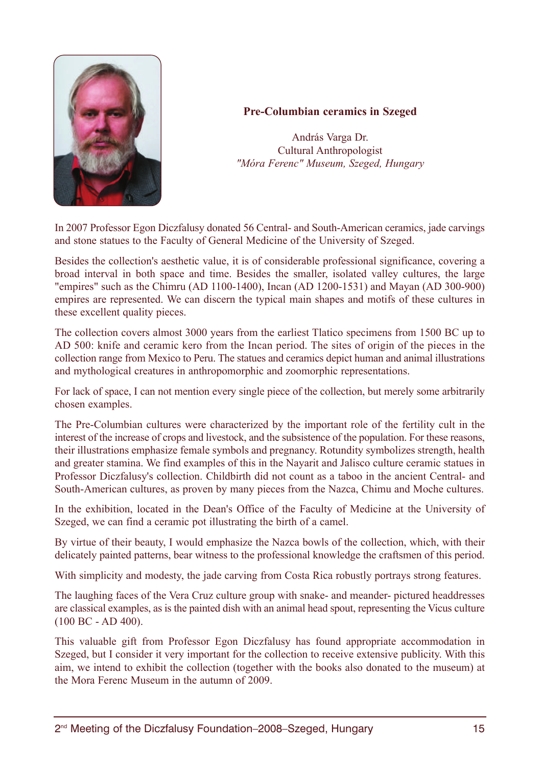

# **Pre-Columbian ceramics in Szeged**

András Varga Dr. Cultural Anthropologist *"Móra Ferenc" Museum, Szeged, Hungary*

In 2007 Professor Egon Diczfalusy donated 56 Central- and South-American ceramics, jade carvings and stone statues to the Faculty of General Medicine of the University of Szeged.

Besides the collection's aesthetic value, it is of considerable professional significance, covering a broad interval in both space and time. Besides the smaller, isolated valley cultures, the large "empires" such as the Chimru (AD 1100-1400), Incan (AD 1200-1531) and Mayan (AD 300-900) empires are represented. We can discern the typical main shapes and motifs of these cultures in these excellent quality pieces.

The collection covers almost 3000 years from the earliest Tlatico specimens from 1500 BC up to AD 500: knife and ceramic kero from the Incan period. The sites of origin of the pieces in the collection range from Mexico to Peru. The statues and ceramics depict human and animal illustrations and mythological creatures in anthropomorphic and zoomorphic representations.

For lack of space, I can not mention every single piece of the collection, but merely some arbitrarily chosen examples.

The Pre-Columbian cultures were characterized by the important role of the fertility cult in the interest of the increase of crops and livestock, and the subsistence of the population. For these reasons, their illustrations emphasize female symbols and pregnancy. Rotundity symbolizes strength, health and greater stamina. We find examples of this in the Nayarit and Jalisco culture ceramic statues in Professor Diczfalusy's collection. Childbirth did not count as a taboo in the ancient Central- and South-American cultures, as proven by many pieces from the Nazca, Chimu and Moche cultures.

In the exhibition, located in the Dean's Office of the Faculty of Medicine at the University of Szeged, we can find a ceramic pot illustrating the birth of a camel.

By virtue of their beauty, I would emphasize the Nazca bowls of the collection, which, with their delicately painted patterns, bear witness to the professional knowledge the craftsmen of this period.

With simplicity and modesty, the jade carving from Costa Rica robustly portrays strong features.

The laughing faces of the Vera Cruz culture group with snake- and meander- pictured headdresses are classical examples, as is the painted dish with an animal head spout, representing the Vicus culture (100 BC - AD 400).

This valuable gift from Professor Egon Diczfalusy has found appropriate accommodation in Szeged, but I consider it very important for the collection to receive extensive publicity. With this aim, we intend to exhibit the collection (together with the books also donated to the museum) at the Mora Ferenc Museum in the autumn of 2009.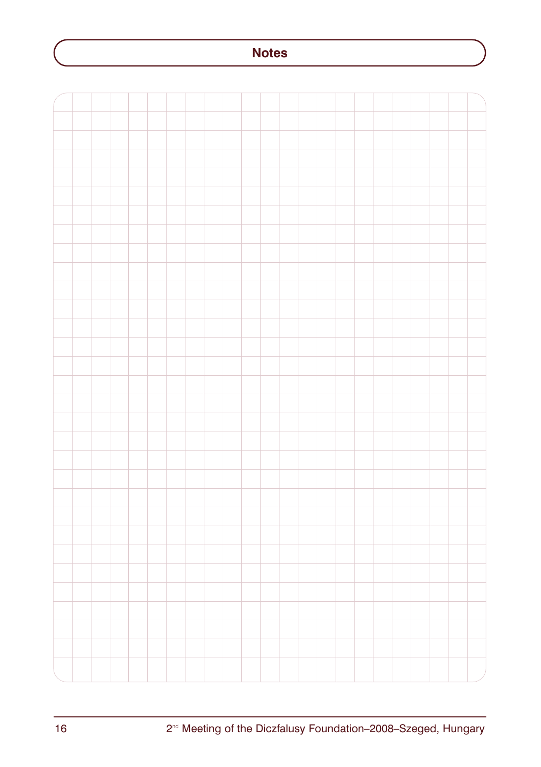# **Notes**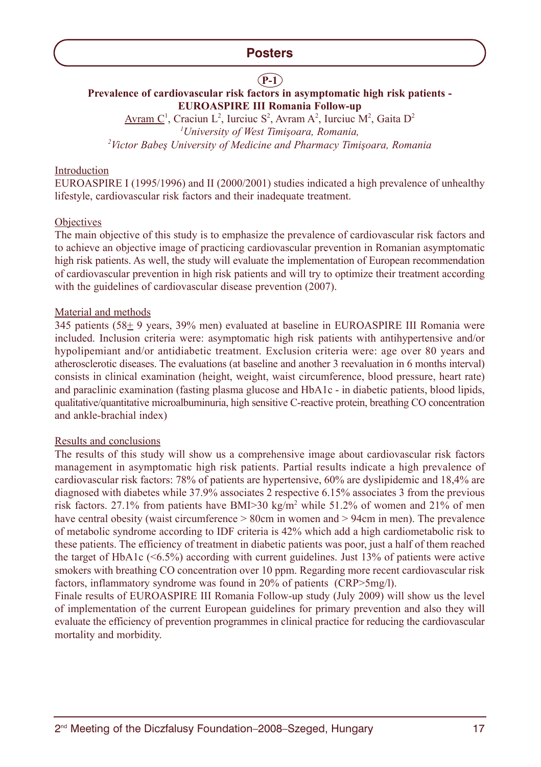# **P-1**

# **Prevalence of cardiovascular risk factors in asymptomatic high risk patients - EUROASPIRE III Romania Follow-up**

Avram C<sup>1</sup>, Craciun L<sup>2</sup>, Iurciuc S<sup>2</sup>, Avram A<sup>2</sup>, Iurciuc M<sup>2</sup>, Gaita D<sup>2</sup> <sup>1</sup>University of West Timişoara, Romania, <sup>2</sup> Victor Babeş University of Medicine and Pharmacy Timişoara, Romania

#### Introduction

EUROASPIRE I (1995/1996) and II (2000/2001) studies indicated a high prevalence of unhealthy lifestyle, cardiovascular risk factors and their inadequate treatment.

#### **Objectives**

The main objective of this study is to emphasize the prevalence of cardiovascular risk factors and to achieve an objective image of practicing cardiovascular prevention in Romanian asymptomatic high risk patients. As well, the study will evaluate the implementation of European recommendation of cardiovascular prevention in high risk patients and will try to optimize their treatment according with the guidelines of cardiovascular disease prevention (2007).

#### Material and methods

345 patients (58+ 9 years, 39% men) evaluated at baseline in EUROASPIRE III Romania were included. Inclusion criteria were: asymptomatic high risk patients with antihypertensive and/or hypolipemiant and/or antidiabetic treatment. Exclusion criteria were: age over 80 years and atherosclerotic diseases. The evaluations (at baseline and another 3 reevaluation in 6 months interval) consists in clinical examination (height, weight, waist circumference, blood pressure, heart rate) and paraclinic examination (fasting plasma glucose and HbA1c - in diabetic patients, blood lipids, qualitative/quantitative microalbuminuria, high sensitive C-reactive protein, breathing CO concentration and ankle-brachial index)

#### Results and conclusions

The results of this study will show us a comprehensive image about cardiovascular risk factors management in asymptomatic high risk patients. Partial results indicate a high prevalence of cardiovascular risk factors: 78% of patients are hypertensive, 60% are dyslipidemic and 18,4% are diagnosed with diabetes while 37.9% associates 2 respective 6.15% associates 3 from the previous risk factors. 27.1% from patients have BMI $>30$  kg/m<sup>2</sup> while 51.2% of women and 21% of men have central obesity (waist circumference  $> 80$ cm in women and  $> 94$ cm in men). The prevalence of metabolic syndrome according to IDF criteria is 42% which add a high cardiometabolic risk to these patients. The efficiency of treatment in diabetic patients was poor, just a half of them reached the target of HbA1c (<6.5%) according with current guidelines. Just 13% of patients were active smokers with breathing CO concentration over 10 ppm. Regarding more recent cardiovascular risk factors, inflammatory syndrome was found in 20% of patients (CRP>5mg/l).

Finale results of EUROASPIRE III Romania Follow-up study (July 2009) will show us the level of implementation of the current European guidelines for primary prevention and also they will evaluate the efficiency of prevention programmes in clinical practice for reducing the cardiovascular mortality and morbidity.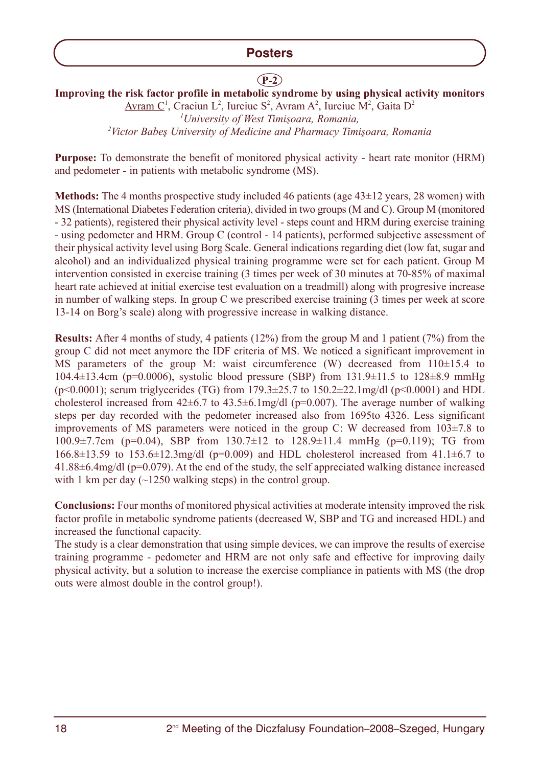# **P-2**

**Improving the risk factor profile in metabolic syndrome by using physical activity monitors** Avram  $C^1$ , Craciun L<sup>2</sup>, Iurciuc S<sup>2</sup>, Avram A<sup>2</sup>, Iurciuc M<sup>2</sup>, Gaita D<sup>2</sup>

<sup>1</sup> University of West Timişoara, Romania, <sup>2</sup> Victor Babeş University of Medicine and Pharmacy Timişoara, Romania

**Purpose:** To demonstrate the benefit of monitored physical activity - heart rate monitor (HRM) and pedometer - in patients with metabolic syndrome (MS).

**Methods:** The 4 months prospective study included 46 patients (age 43±12 years, 28 women) with MS (International Diabetes Federation criteria), divided in two groups (M and C). Group M (monitored - 32 patients), registered their physical activity level - steps count and HRM during exercise training - using pedometer and HRM. Group C (control - 14 patients), performed subjective assessment of their physical activity level using Borg Scale. General indications regarding diet (low fat, sugar and alcohol) and an individualized physical training programme were set for each patient. Group M intervention consisted in exercise training (3 times per week of 30 minutes at 70-85% of maximal heart rate achieved at initial exercise test evaluation on a treadmill) along with progresive increase in number of walking steps. In group C we prescribed exercise training (3 times per week at score 13-14 on Borg's scale) along with progressive increase in walking distance.

**Results:** After 4 months of study, 4 patients (12%) from the group M and 1 patient (7%) from the group C did not meet anymore the IDF criteria of MS. We noticed a significant improvement in MS parameters of the group M: waist circumference (W) decreased from  $110\pm15.4$  to 104.4±13.4cm (p=0.0006), systolic blood pressure (SBP) from 131.9±11.5 to 128±8.9 mmHg  $(p<0.0001)$ ; serum triglycerides (TG) from 179.3 $\pm$ 25.7 to 150.2 $\pm$ 22.1mg/dl (p $< 0.0001$ ) and HDL cholesterol increased from  $42\pm6.7$  to  $43.5\pm6.1$ mg/dl (p=0.007). The average number of walking steps per day recorded with the pedometer increased also from 1695to 4326. Less significant improvements of MS parameters were noticed in the group C: W decreased from  $103\pm7.8$  to 100.9 $\pm$ 7.7cm (p=0.04), SBP from 130.7 $\pm$ 12 to 128.9 $\pm$ 11.4 mmHg (p=0.119); TG from  $166.8 \pm 13.59$  to  $153.6 \pm 12.3$  mg/dl (p=0.009) and HDL cholesterol increased from  $41.1 \pm 6.7$  to 41.88±6.4mg/dl (p=0.079). At the end of the study, the self appreciated walking distance increased with 1 km per day  $(\sim 1250$  walking steps) in the control group.

**Conclusions:** Four months of monitored physical activities at moderate intensity improved the risk factor profile in metabolic syndrome patients (decreased W, SBP and TG and increased HDL) and increased the functional capacity.

The study is a clear demonstration that using simple devices, we can improve the results of exercise training programme - pedometer and HRM are not only safe and effective for improving daily physical activity, but a solution to increase the exercise compliance in patients with MS (the drop outs were almost double in the control group!).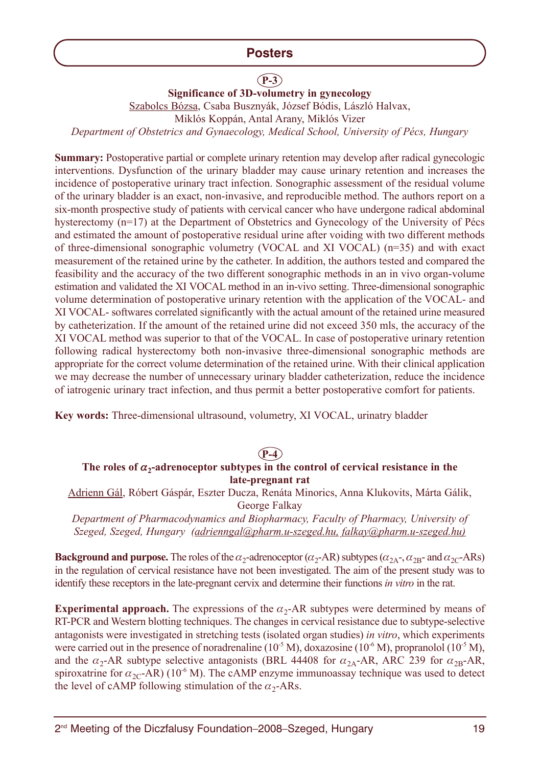# **P-3**

**Significance of 3D-volumetry in gynecology**

Szabolcs Bózsa, Csaba Busznyák, József Bódis, László Halvax,

Miklós Koppán, Antal Arany, Miklós Vizer

*Department of Obstetrics and Gynaecology, Medical School, University of Pécs, Hungary*

**Summary:** Postoperative partial or complete urinary retention may develop after radical gynecologic interventions. Dysfunction of the urinary bladder may cause urinary retention and increases the incidence of postoperative urinary tract infection. Sonographic assessment of the residual volume of the urinary bladder is an exact, non-invasive, and reproducible method. The authors report on a six-month prospective study of patients with cervical cancer who have undergone radical abdominal hysterectomy (n=17) at the Department of Obstetrics and Gynecology of the University of Pécs and estimated the amount of postoperative residual urine after voiding with two different methods of three-dimensional sonographic volumetry (VOCAL and XI VOCAL) (n=35) and with exact measurement of the retained urine by the catheter. In addition, the authors tested and compared the feasibility and the accuracy of the two different sonographic methods in an in vivo organ-volume estimation and validated the XI VOCAL method in an in-vivo setting. Three-dimensional sonographic volume determination of postoperative urinary retention with the application of the VOCAL- and XI VOCAL- softwares correlated significantly with the actual amount of the retained urine measured by catheterization. If the amount of the retained urine did not exceed 350 mls, the accuracy of the XI VOCAL method was superior to that of the VOCAL. In case of postoperative urinary retention following radical hysterectomy both non-invasive three-dimensional sonographic methods are appropriate for the correct volume determination of the retained urine. With their clinical application we may decrease the number of unnecessary urinary bladder catheterization, reduce the incidence of iatrogenic urinary tract infection, and thus permit a better postoperative comfort for patients.

**Key words:** Three-dimensional ultrasound, volumetry, XI VOCAL, urinatry bladder

**P-4**

# The roles of  $\alpha_2$ -adrenoceptor subtypes in the control of cervical resistance in the **late-pregnant rat**

Adrienn Gál, Róbert Gáspár, Eszter Ducza, Renáta Minorics, Anna Klukovits, Márta Gálik, George Falkay

*Department of Pharmacodynamics and Biopharmacy, Faculty of Pharmacy, University of Szeged, Szeged, Hungary (adrienngal@pharm.u-szeged.hu, falkay@pharm.u-szeged.hu)*

**Background and purpose.** The roles of the  $\alpha_2$ -adrenoceptor ( $\alpha_2$ -AR) subtypes ( $\alpha_{2A}$ -,  $\alpha_{2B}$ - and  $\alpha_{2C}$ -ARs) in the regulation of cervical resistance have not been investigated. The aim of the present study was to identify these receptors in the late-pregnant cervix and determine their functions *in vitro* in the rat.

**Experimental approach.** The expressions of the  $\alpha_2$ -AR subtypes were determined by means of RT-PCR and Western blotting techniques. The changes in cervical resistance due to subtype-selective antagonists were investigated in stretching tests (isolated organ studies) *in vitro*, which experiments were carried out in the presence of noradrenaline ( $10^{-5}$  M), doxazosine ( $10^{-6}$  M), propranolol ( $10^{-5}$  M), and the  $\alpha_2$ -AR subtype selective antagonists (BRL 44408 for  $\alpha_{2A}$ -AR, ARC 239 for  $\alpha_{2B}$ -AR, spiroxatrine for  $\alpha_{2C}$ -AR) (10<sup>-6</sup> M). The cAMP enzyme immunoassay technique was used to detect the level of cAMP following stimulation of the  $\alpha_2$ -ARs.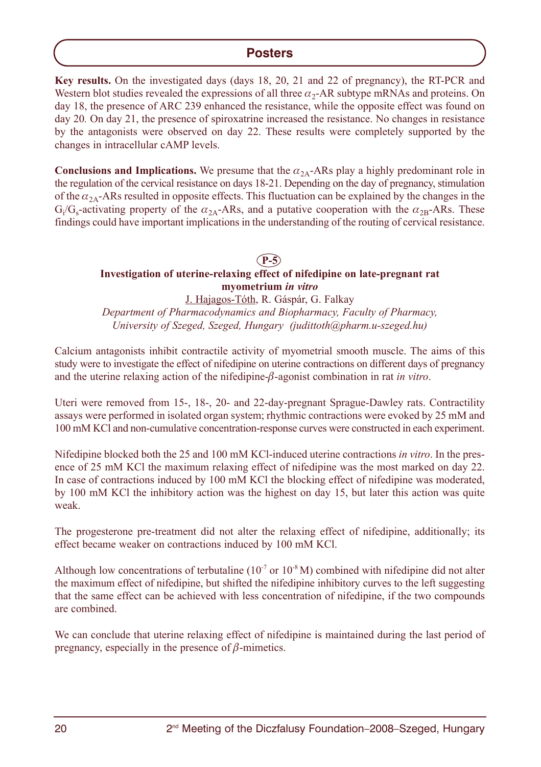**Key results.** On the investigated days (days 18, 20, 21 and 22 of pregnancy), the RT-PCR and Western blot studies revealed the expressions of all three  $\alpha_{2}$ -AR subtype mRNAs and proteins. On day 18, the presence of ARC 239 enhanced the resistance, while the opposite effect was found on day 20. On day 21, the presence of spiroxatrine increased the resistance. No changes in resistance by the antagonists were observed on day 22. These results were completely supported by the changes in intracellular cAMP levels.

**Conclusions and Implications.** We presume that the  $\alpha_{2A}$ -ARs play a highly predominant role in the regulation of the cervical resistance on days 18-21. Depending on the day of pregnancy, stimulation of the  $\alpha_{2A}$ -ARs resulted in opposite effects. This fluctuation can be explained by the changes in the  $G_i/G_s$ -activating property of the  $\alpha_{2A}$ -ARs, and a putative cooperation with the  $\alpha_{2B}$ -ARs. These findings could have important implications in the understanding of the routing of cervical resistance.

# **P-5**

# **Investigation of uterine-relaxing effect of nifedipine on late-pregnant rat myometrium** *in vitro*

J. Hajagos-Tóth, R. Gáspár, G. Falkay *Department of Pharmacodynamics and Biopharmacy, Faculty of Pharmacy, University of Szeged, Szeged, Hungary (judittoth@pharm.u-szeged.hu)*

Calcium antagonists inhibit contractile activity of myometrial smooth muscle. The aims of this study were to investigate the effect of nifedipine on uterine contractions on different days of pregnancy and the uterine relaxing action of the nifedipine-β-agonist combination in rat *in vitro*.

Uteri were removed from 15-, 18-, 20- and 22-day-pregnant Sprague-Dawley rats. Contractility assays were performed in isolated organ system; rhythmic contractions were evoked by 25 mM and 100 mM KCl and non-cumulative concentration-response curves were constructed in each experiment.

Nifedipine blocked both the 25 and 100 mM KCl-induced uterine contractions *in vitro*. In the presence of 25 mM KCl the maximum relaxing effect of nifedipine was the most marked on day 22. In case of contractions induced by 100 mM KCl the blocking effect of nifedipine was moderated, by 100 mM KCl the inhibitory action was the highest on day 15, but later this action was quite weak.

The progesterone pre-treatment did not alter the relaxing effect of nifedipine, additionally; its effect became weaker on contractions induced by 100 mM KCl.

Although low concentrations of terbutaline ( $10^{-7}$  or  $10^{-8}$  M) combined with nifedipine did not alter the maximum effect of nifedipine, but shifted the nifedipine inhibitory curves to the left suggesting that the same effect can be achieved with less concentration of nifedipine, if the two compounds are combined.

We can conclude that uterine relaxing effect of nifedipine is maintained during the last period of pregnancy, especially in the presence of  $\beta$ -mimetics.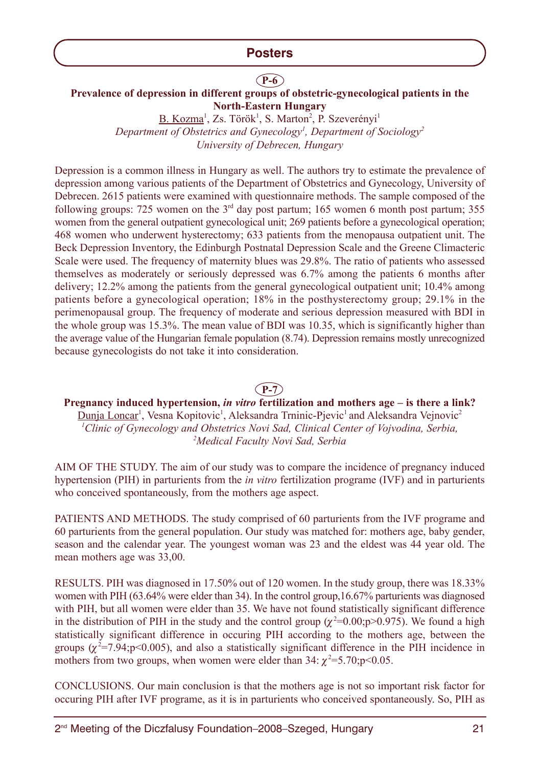# **P-6**

# **Prevalence of depression in different groups of obstetric-gynecological patients in the North-Eastern Hungary**

B. Kozma<sup>1</sup>, Zs. Török<sup>1</sup>, S. Marton<sup>2</sup>, P. Szeverényi<sup>1</sup> Department of Obstetrics and Gynecology<sup>1</sup>, Department of Sociology<sup>2</sup> *University of Debrecen, Hungary*

Depression is a common illness in Hungary as well. The authors try to estimate the prevalence of depression among various patients of the Department of Obstetrics and Gynecology, University of Debrecen. 2615 patients were examined with questionnaire methods. The sample composed of the following groups: 725 women on the  $3<sup>rd</sup>$  day post partum; 165 women 6 month post partum; 355 women from the general outpatient gynecological unit; 269 patients before a gynecological operation; 468 women who underwent hysterectomy; 633 patients from the menopausa outpatient unit. The Beck Depression Inventory, the Edinburgh Postnatal Depression Scale and the Greene Climacteric Scale were used. The frequency of maternity blues was 29.8%. The ratio of patients who assessed themselves as moderately or seriously depressed was 6.7% among the patients 6 months after delivery; 12.2% among the patients from the general gynecological outpatient unit; 10.4% among patients before a gynecological operation; 18% in the posthysterectomy group; 29.1% in the perimenopausal group. The frequency of moderate and serious depression measured with BDI in the whole group was 15.3%. The mean value of BDI was 10.35, which is significantly higher than the average value of the Hungarian female population (8.74). Depression remains mostly unrecognized because gynecologists do not take it into consideration.

# **P-7**

**Pregnancy induced hypertension,** *in vitro* **fertilization and mothers age – is there a link?** Dunja Loncar<sup>1</sup>, Vesna Kopitovic<sup>1</sup>, Aleksandra Trninic-Pjevic<sup>1</sup> and Aleksandra Vejnovic<sup>2</sup> *1 Clinic of Gynecology and Obstetrics Novi Sad, Clinical Center of Vojvodina, Serbia, 2 Medical Faculty Novi Sad, Serbia*

AIM OF THE STUDY. The aim of our study was to compare the incidence of pregnancy induced hypertension (PIH) in parturients from the *in vitro* fertilization programe (IVF) and in parturients who conceived spontaneously, from the mothers age aspect.

PATIENTS AND METHODS. The study comprised of 60 parturients from the IVF programe and 60 parturients from the general population. Our study was matched for: mothers age, baby gender, season and the calendar year. The youngest woman was 23 and the eldest was 44 year old. The mean mothers age was 33,00.

RESULTS. PIH was diagnosed in 17.50% out of 120 women. In the study group, there was 18.33% women with PIH (63.64% were elder than 34). In the control group,16.67% parturients was diagnosed with PIH, but all women were elder than 35. We have not found statistically significant difference in the distribution of PIH in the study and the control group ( $\chi^2$ =0.00;p>0.975). We found a high statistically significant difference in occuring PIH according to the mothers age, between the groups  $(\chi^2=7.94; p<0.005)$ , and also a statistically significant difference in the PIH incidence in mothers from two groups, when women were elder than  $34: \chi^2 = 5.70; p < 0.05$ .

CONCLUSIONS. Our main conclusion is that the mothers age is not so important risk factor for occuring PIH after IVF programe, as it is in parturients who conceived spontaneously. So, PIH as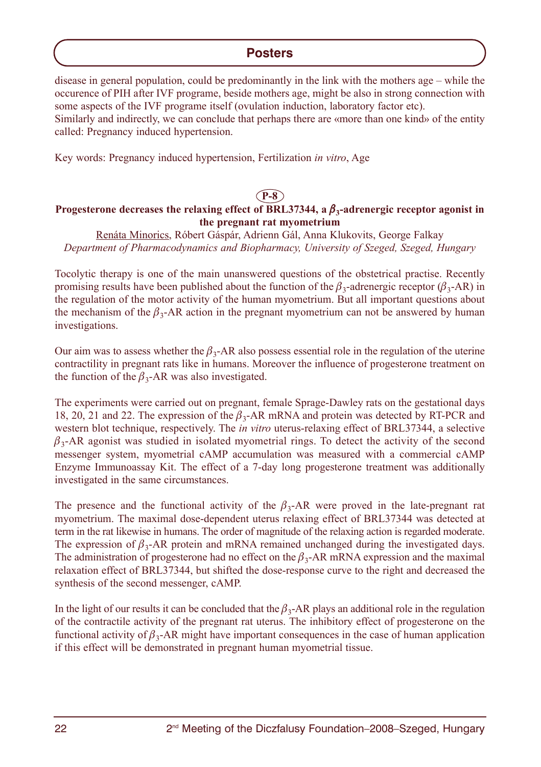disease in general population, could be predominantly in the link with the mothers age – while the occurence of PIH after IVF programe, beside mothers age, might be also in strong connection with some aspects of the IVF programe itself (ovulation induction, laboratory factor etc). Similarly and indirectly, we can conclude that perhaps there are «more than one kind» of the entity called: Pregnancy induced hypertension.

Key words: Pregnancy induced hypertension, Fertilization *in vitro*, Age

## **P-8 Progesterone decreases the relaxing effect of BRL37344, a** β**3-adrenergic receptor agonist in the pregnant rat myometrium**

Renáta Minorics, Róbert Gáspár, Adrienn Gál, Anna Klukovits, George Falkay *Department of Pharmacodynamics and Biopharmacy, University of Szeged, Szeged, Hungary*

Tocolytic therapy is one of the main unanswered questions of the obstetrical practise. Recently promising results have been published about the function of the  $\beta_3$ -adrenergic receptor  $(\beta_3$ -AR) in the regulation of the motor activity of the human myometrium. But all important questions about the mechanism of the  $\beta_3$ -AR action in the pregnant myometrium can not be answered by human investigations.

Our aim was to assess whether the  $\beta_3$ -AR also possess essential role in the regulation of the uterine contractility in pregnant rats like in humans. Moreover the influence of progesterone treatment on the function of the  $\beta_3$ -AR was also investigated.

The experiments were carried out on pregnant, female Sprage-Dawley rats on the gestational days 18, 20, 21 and 22. The expression of the  $\beta_3$ -AR mRNA and protein was detected by RT-PCR and western blot technique, respectively. The *in vitro* uterus-relaxing effect of BRL37344, a selective  $\beta_3$ -AR agonist was studied in isolated myometrial rings. To detect the activity of the second messenger system, myometrial cAMP accumulation was measured with a commercial cAMP Enzyme Immunoassay Kit. The effect of a 7-day long progesterone treatment was additionally investigated in the same circumstances.

The presence and the functional activity of the  $\beta_3$ -AR were proved in the late-pregnant rat myometrium. The maximal dose-dependent uterus relaxing effect of BRL37344 was detected at term in the rat likewise in humans. The order of magnitude of the relaxing action is regarded moderate. The expression of  $\beta_3$ -AR protein and mRNA remained unchanged during the investigated days. The administration of progesterone had no effect on the  $\beta_3$ -AR mRNA expression and the maximal relaxation effect of BRL37344, but shifted the dose-response curve to the right and decreased the synthesis of the second messenger, cAMP.

In the light of our results it can be concluded that the  $\beta_3$ -AR plays an additional role in the regulation of the contractile activity of the pregnant rat uterus. The inhibitory effect of progesterone on the functional activity of  $\beta_3$ -AR might have important consequences in the case of human application if this effect will be demonstrated in pregnant human myometrial tissue.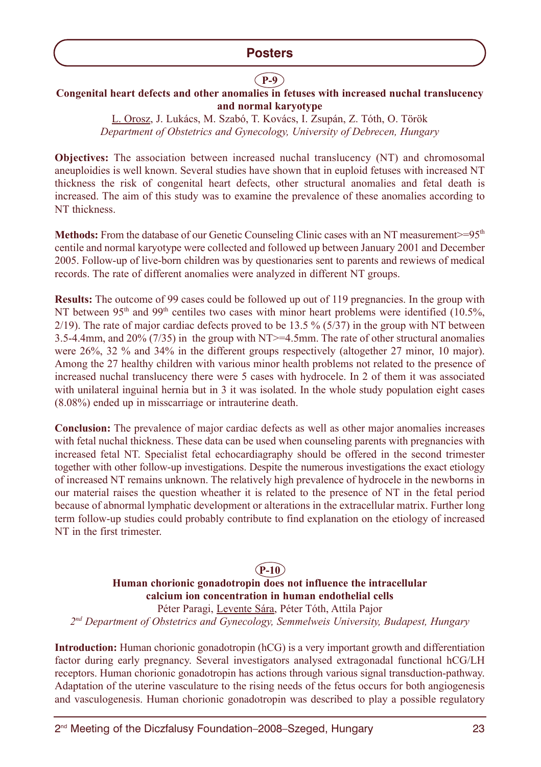# **P-9**

# **Congenital heart defects and other anomalies in fetuses with increased nuchal translucency and normal karyotype**

L. Orosz, J. Lukács, M. Szabó, T. Kovács, I. Zsupán, Z. Tóth, O. Török *Department of Obstetrics and Gynecology, University of Debrecen, Hungary*

**Objectives:** The association between increased nuchal translucency (NT) and chromosomal aneuploidies is well known. Several studies have shown that in euploid fetuses with increased NT thickness the risk of congenital heart defects, other structural anomalies and fetal death is increased. The aim of this study was to examine the prevalence of these anomalies according to NT thickness.

**Methods:** From the database of our Genetic Counseling Clinic cases with an NT measurement $> = 95<sup>th</sup>$ centile and normal karyotype were collected and followed up between January 2001 and December 2005. Follow-up of live-born children was by questionaries sent to parents and rewiews of medical records. The rate of different anomalies were analyzed in different NT groups.

**Results:** The outcome of 99 cases could be followed up out of 119 pregnancies. In the group with NT between 95<sup>th</sup> and 99<sup>th</sup> centiles two cases with minor heart problems were identified (10.5%,  $2/19$ ). The rate of major cardiac defects proved to be 13.5 % (5/37) in the group with NT between 3.5-4.4mm, and 20% (7/35) in the group with NT>=4.5mm. The rate of other structural anomalies were 26%, 32 % and 34% in the different groups respectively (altogether 27 minor, 10 major). Among the 27 healthy children with various minor health problems not related to the presence of increased nuchal translucency there were 5 cases with hydrocele. In 2 of them it was associated with unilateral inguinal hernia but in 3 it was isolated. In the whole study population eight cases (8.08%) ended up in misscarriage or intrauterine death.

**Conclusion:** The prevalence of major cardiac defects as well as other major anomalies increases with fetal nuchal thickness. These data can be used when counseling parents with pregnancies with increased fetal NT. Specialist fetal echocardiagraphy should be offered in the second trimester together with other follow-up investigations. Despite the numerous investigations the exact etiology of increased NT remains unknown. The relatively high prevalence of hydrocele in the newborns in our material raises the question wheather it is related to the presence of NT in the fetal period because of abnormal lymphatic development or alterations in the extracellular matrix. Further long term follow-up studies could probably contribute to find explanation on the etiology of increased NT in the first trimester.

# **P-10**

**Human chorionic gonadotropin does not influence the intracellular calcium ion concentration in human endothelial cells**

Péter Paragi, Levente Sára, Péter Tóth, Attila Pajor *2nd Department of Obstetrics and Gynecology, Semmelweis University, Budapest, Hungary*

**Introduction:** Human chorionic gonadotropin (hCG) is a very important growth and differentiation factor during early pregnancy. Several investigators analysed extragonadal functional hCG/LH receptors. Human chorionic gonadotropin has actions through various signal transduction-pathway. Adaptation of the uterine vasculature to the rising needs of the fetus occurs for both angiogenesis and vasculogenesis. Human chorionic gonadotropin was described to play a possible regulatory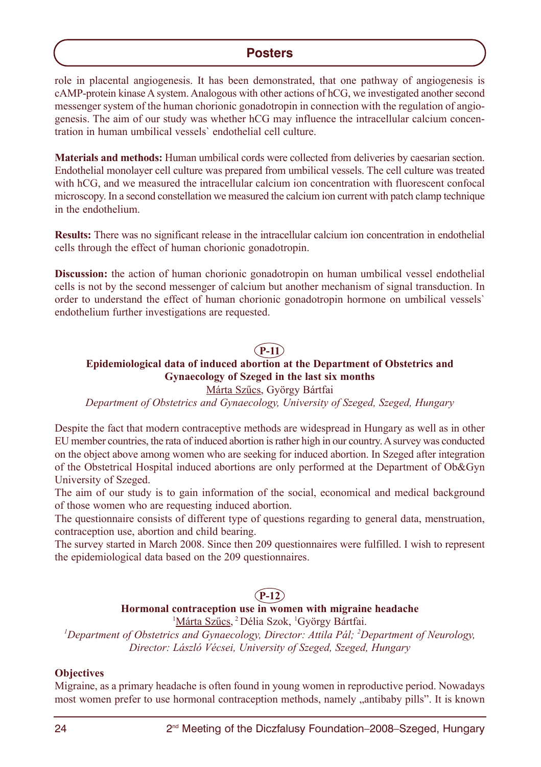role in placental angiogenesis. It has been demonstrated, that one pathway of angiogenesis is cAMP-protein kinase A system. Analogous with other actions of hCG, we investigated another second messenger system of the human chorionic gonadotropin in connection with the regulation of angiogenesis. The aim of our study was whether hCG may influence the intracellular calcium concentration in human umbilical vessels` endothelial cell culture.

**Materials and methods:** Human umbilical cords were collected from deliveries by caesarian section. Endothelial monolayer cell culture was prepared from umbilical vessels. The cell culture was treated with hCG, and we measured the intracellular calcium ion concentration with fluorescent confocal microscopy. In a second constellation we measured the calcium ion current with patch clamp technique in the endothelium.

**Results:** There was no significant release in the intracellular calcium ion concentration in endothelial cells through the effect of human chorionic gonadotropin.

**Discussion:** the action of human chorionic gonadotropin on human umbilical vessel endothelial cells is not by the second messenger of calcium but another mechanism of signal transduction. In order to understand the effect of human chorionic gonadotropin hormone on umbilical vessels` endothelium further investigations are requested.

# **P-11**

# **Epidemiological data of induced abortion at the Department of Obstetrics and Gynaecology of Szeged in the last six months**

Márta Szûcs, György Bártfai

*Department of Obstetrics and Gynaecology, University of Szeged, Szeged, Hungary*

Despite the fact that modern contraceptive methods are widespread in Hungary as well as in other EU member countries, the rata of induced abortion is rather high in our country. Asurvey was conducted on the object above among women who are seeking for induced abortion. In Szeged after integration of the Obstetrical Hospital induced abortions are only performed at the Department of Ob&Gyn University of Szeged.

The aim of our study is to gain information of the social, economical and medical background of those women who are requesting induced abortion.

The questionnaire consists of different type of questions regarding to general data, menstruation, contraception use, abortion and child bearing.

The survey started in March 2008. Since then 209 questionnaires were fulfilled. I wish to represent the epidemiological data based on the 209 questionnaires.

# **P-12**

# **Hormonal contraception use in women with migraine headache**

<sup>1</sup>Márta Szűcs, <sup>2</sup> Délia Szok, <sup>1</sup>György Bártfai.

<sup>1</sup>Department of Obstetrics and Gynaecology, Director: Attila Pál; <sup>2</sup>Department of Neurology, *Director: László Vécsei, University of Szeged, Szeged, Hungary*

#### **Objectives**

Migraine, as a primary headache is often found in young women in reproductive period. Nowadays most women prefer to use hormonal contraception methods, namely "antibaby pills". It is known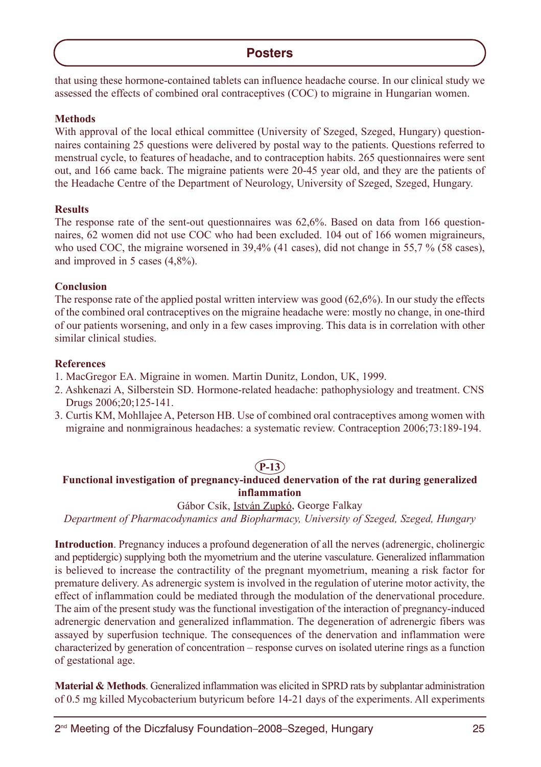that using these hormone-contained tablets can influence headache course. In our clinical study we assessed the effects of combined oral contraceptives (COC) to migraine in Hungarian women.

## **Methods**

With approval of the local ethical committee (University of Szeged, Szeged, Hungary) questionnaires containing 25 questions were delivered by postal way to the patients. Questions referred to menstrual cycle, to features of headache, and to contraception habits. 265 questionnaires were sent out, and 166 came back. The migraine patients were 20-45 year old, and they are the patients of the Headache Centre of the Department of Neurology, University of Szeged, Szeged, Hungary.

## **Results**

The response rate of the sent-out questionnaires was 62,6%. Based on data from 166 questionnaires, 62 women did not use COC who had been excluded. 104 out of 166 women migraineurs, who used COC, the migraine worsened in 39,4% (41 cases), did not change in 55,7 % (58 cases), and improved in 5 cases (4,8%).

# **Conclusion**

The response rate of the applied postal written interview was good (62,6%). In our study the effects of the combined oral contraceptives on the migraine headache were: mostly no change, in one-third of our patients worsening, and only in a few cases improving. This data is in correlation with other similar clinical studies.

## **References**

- 1. MacGregor EA. Migraine in women. Martin Dunitz, London, UK, 1999.
- 2. Ashkenazi A, Silberstein SD. Hormone-related headache: pathophysiology and treatment. CNS Drugs 2006;20;125-141.
- 3. Curtis KM, Mohllajee A, Peterson HB. Use of combined oral contraceptives among women with migraine and nonmigrainous headaches: a systematic review. Contraception 2006;73:189-194.

# **P-13**

# **Functional investigation of pregnancy-induced denervation of the rat during generalized inflammation**

## Gábor Csík, István Zupkó, George Falkay

*Department of Pharmacodynamics and Biopharmacy, University of Szeged, Szeged, Hungary*

**Introduction**. Pregnancy induces a profound degeneration of all the nerves (adrenergic, cholinergic and peptidergic) supplying both the myometrium and the uterine vasculature. Generalized inflammation is believed to increase the contractility of the pregnant myometrium, meaning a risk factor for premature delivery. As adrenergic system is involved in the regulation of uterine motor activity, the effect of inflammation could be mediated through the modulation of the denervational procedure. The aim of the present study was the functional investigation of the interaction of pregnancy-induced adrenergic denervation and generalized inflammation. The degeneration of adrenergic fibers was assayed by superfusion technique. The consequences of the denervation and inflammation were characterized by generation of concentration – response curves on isolated uterine rings as a function of gestational age.

**Material & Methods**. Generalized inflammation was elicited in SPRD rats by subplantar administration of 0.5 mg killed Mycobacterium butyricum before 14-21 days of the experiments. All experiments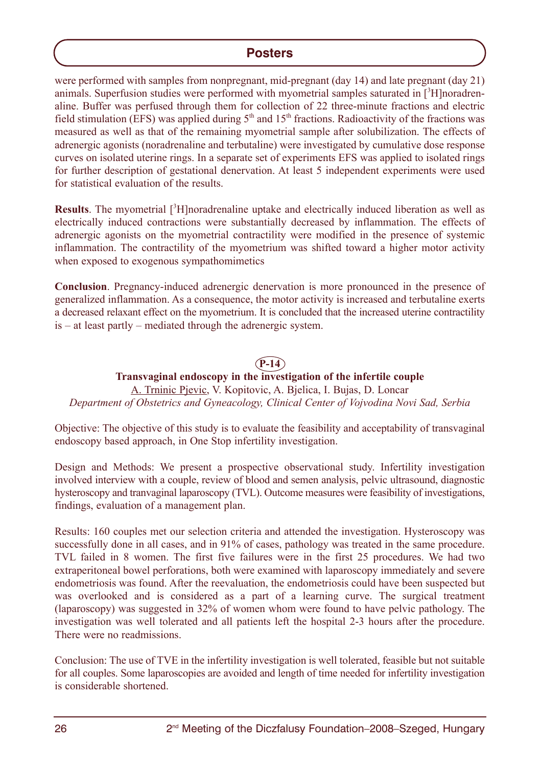were performed with samples from nonpregnant, mid-pregnant (day 14) and late pregnant (day 21) animals. Superfusion studies were performed with myometrial samples saturated in  $[3H]$ noradrenaline. Buffer was perfused through them for collection of 22 three-minute fractions and electric field stimulation (EFS) was applied during  $5<sup>th</sup>$  and  $15<sup>th</sup>$  fractions. Radioactivity of the fractions was measured as well as that of the remaining myometrial sample after solubilization. The effects of adrenergic agonists (noradrenaline and terbutaline) were investigated by cumulative dose response curves on isolated uterine rings. In a separate set of experiments EFS was applied to isolated rings for further description of gestational denervation. At least 5 independent experiments were used for statistical evaluation of the results.

**Results**. The myometrial [3H]noradrenaline uptake and electrically induced liberation as well as electrically induced contractions were substantially decreased by inflammation. The effects of adrenergic agonists on the myometrial contractility were modified in the presence of systemic inflammation. The contractility of the myometrium was shifted toward a higher motor activity when exposed to exogenous sympathomimetics

**Conclusion**. Pregnancy-induced adrenergic denervation is more pronounced in the presence of generalized inflammation. As a consequence, the motor activity is increased and terbutaline exerts a decreased relaxant effect on the myometrium. It is concluded that the increased uterine contractility is – at least partly – mediated through the adrenergic system.

# **P-14**

## **Transvaginal endoscopy in the investigation of the infertile couple** A. Trninic Pjevic, V. Kopitovic, A. Bjelica, I. Bujas, D. Loncar *Department of Obstetrics and Gyneacology, Clinical Center of Vojvodina Novi Sad, Serbia*

Objective: The objective of this study is to evaluate the feasibility and acceptability of transvaginal endoscopy based approach, in One Stop infertility investigation.

Design and Methods: We present a prospective observational study. Infertility investigation involved interview with a couple, review of blood and semen analysis, pelvic ultrasound, diagnostic hysteroscopy and tranvaginal laparoscopy (TVL). Outcome measures were feasibility of investigations, findings, evaluation of a management plan.

Results: 160 couples met our selection criteria and attended the investigation. Hysteroscopy was successfully done in all cases, and in 91% of cases, pathology was treated in the same procedure. TVL failed in 8 women. The first five failures were in the first 25 procedures. We had two extraperitoneal bowel perforations, both were examined with laparoscopy immediately and severe endometriosis was found. After the reevaluation, the endometriosis could have been suspected but was overlooked and is considered as a part of a learning curve. The surgical treatment (laparoscopy) was suggested in 32% of women whom were found to have pelvic pathology. The investigation was well tolerated and all patients left the hospital 2-3 hours after the procedure. There were no readmissions.

Conclusion: The use of TVE in the infertility investigation is well tolerated, feasible but not suitable for all couples. Some laparoscopies are avoided and length of time needed for infertility investigation is considerable shortened.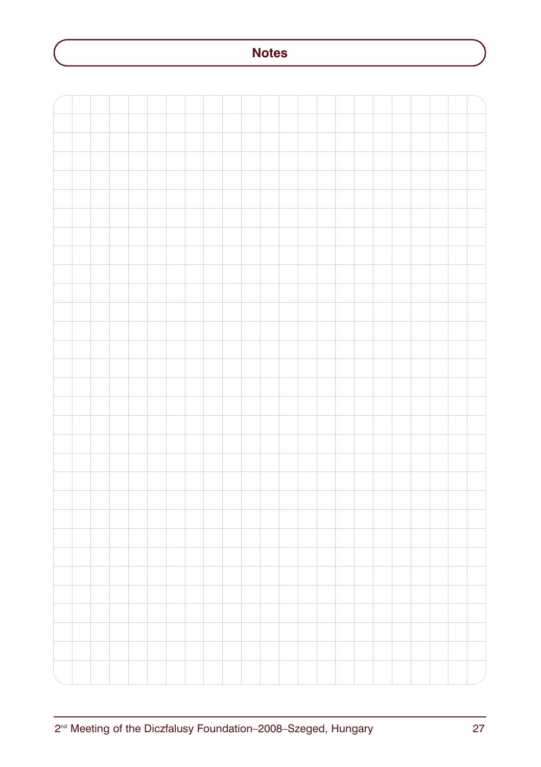# **Notes**